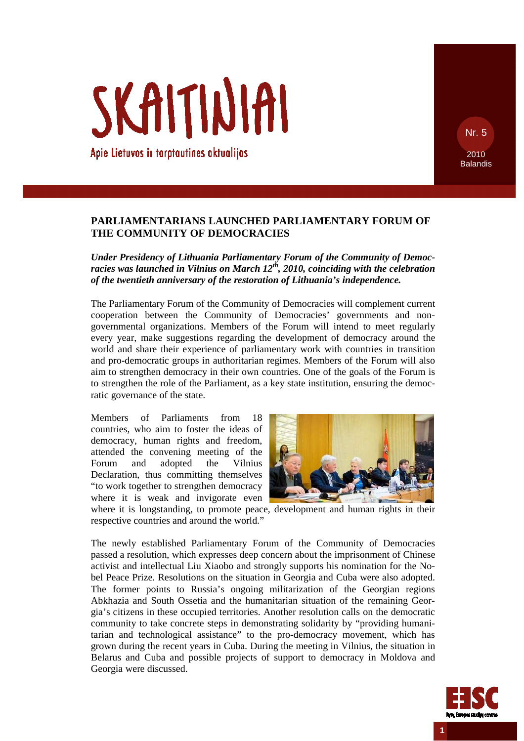Apie Lietuvos ir tarptautines aktualijas

SKAITINIAI

# **PARLIAMENTARIANS LAUNCHED PARLIAMENTARY FORUM OF THE COMMUNITY OF DEMOCRACIES**

*Under Presidency of Lithuania Parliamentary Forum of the Community of Democracies was launched in Vilnius on March 12th, 2010, coinciding with the celebration of the twentieth anniversary of the restoration of Lithuania's independence.* 

The Parliamentary Forum of the Community of Democracies will complement current cooperation between the Community of Democracies' governments and nongovernmental organizations. Members of the Forum will intend to meet regularly every year, make suggestions regarding the development of democracy around the world and share their experience of parliamentary work with countries in transition and pro-democratic groups in authoritarian regimes. Members of the Forum will also aim to strengthen democracy in their own countries. One of the goals of the Forum is to strengthen the role of the Parliament, as a key state institution, ensuring the democratic governance of the state.

Members of Parliaments from 18 countries, who aim to foster the ideas of democracy, human rights and freedom, attended the convening meeting of the Forum and adopted the Vilnius Declaration, thus committing themselves "to work together to strengthen democracy where it is weak and invigorate even



where it is longstanding, to promote peace, development and human rights in their respective countries and around the world."

The newly established Parliamentary Forum of the Community of Democracies passed a resolution, which expresses deep concern about the imprisonment of Chinese activist and intellectual Liu Xiaobo and strongly supports his nomination for the Nobel Peace Prize. Resolutions on the situation in Georgia and Cuba were also adopted. The former points to Russia's ongoing militarization of the Georgian regions Abkhazia and South Ossetia and the humanitarian situation of the remaining Georgia's citizens in these occupied territories. Another resolution calls on the democratic community to take concrete steps in demonstrating solidarity by "providing humanitarian and technological assistance" to the pro-democracy movement, which has grown during the recent years in Cuba. During the meeting in Vilnius, the situation in Belarus and Cuba and possible projects of support to democracy in Moldova and Georgia were discussed.



**1** 

Nr. 5

2010 Balandis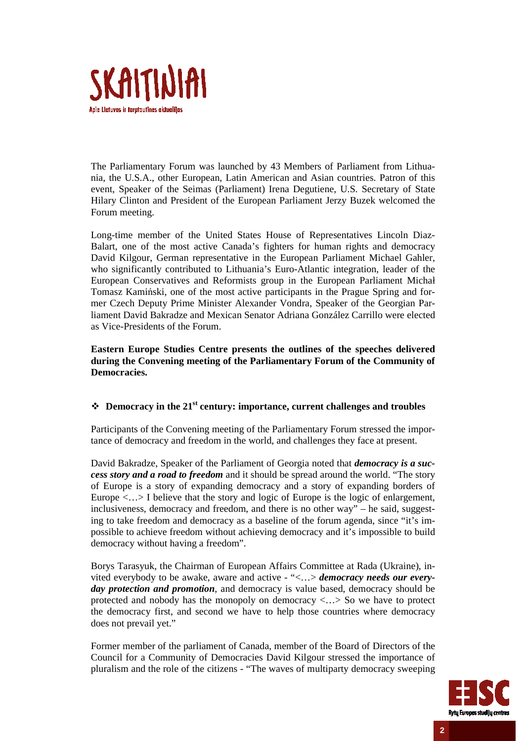

The Parliamentary Forum was launched by 43 Members of Parliament from Lithuania, the U.S.A., other European, Latin American and Asian countries. Patron of this event, Speaker of the Seimas (Parliament) Irena Degutiene, U.S. Secretary of State Hilary Clinton and President of the European Parliament Jerzy Buzek welcomed the Forum meeting.

Long-time member of the United States House of Representatives Lincoln Diaz-Balart, one of the most active Canada's fighters for human rights and democracy David Kilgour, German representative in the European Parliament Michael Gahler, who significantly contributed to Lithuania's Euro-Atlantic integration, leader of the European Conservatives and Reformists group in the European Parliament Michał Tomasz Kamiński, one of the most active participants in the Prague Spring and former Czech Deputy Prime Minister Alexander Vondra, Speaker of the Georgian Parliament David Bakradze and Mexican Senator Adriana González Carrillo were elected as Vice-Presidents of the Forum.

**Eastern Europe Studies Centre presents the outlines of the speeches delivered during the Convening meeting of the Parliamentary Forum of the Community of Democracies.** 

## **Democracy in the 21st century: importance, current challenges and troubles**

Participants of the Convening meeting of the Parliamentary Forum stressed the importance of democracy and freedom in the world, and challenges they face at present.

David Bakradze, Speaker of the Parliament of Georgia noted that *democracy is a success story and a road to freedom* and it should be spread around the world. "The story of Europe is a story of expanding democracy and a story of expanding borders of Europe  $\langle \ldots \rangle$  I believe that the story and logic of Europe is the logic of enlargement, inclusiveness, democracy and freedom, and there is no other way" – he said, suggesting to take freedom and democracy as a baseline of the forum agenda, since "it's impossible to achieve freedom without achieving democracy and it's impossible to build democracy without having a freedom".

Borys Tarasyuk, the Chairman of European Affairs Committee at Rada (Ukraine), invited everybody to be awake, aware and active - "<…> *democracy needs our everyday protection and promotion*, and democracy is value based, democracy should be protected and nobody has the monopoly on democracy <…> So we have to protect the democracy first, and second we have to help those countries where democracy does not prevail yet."

Former member of the parliament of Canada, member of the Board of Directors of the Council for a Community of Democracies David Kilgour stressed the importance of pluralism and the role of the citizens - "The waves of multiparty democracy sweeping

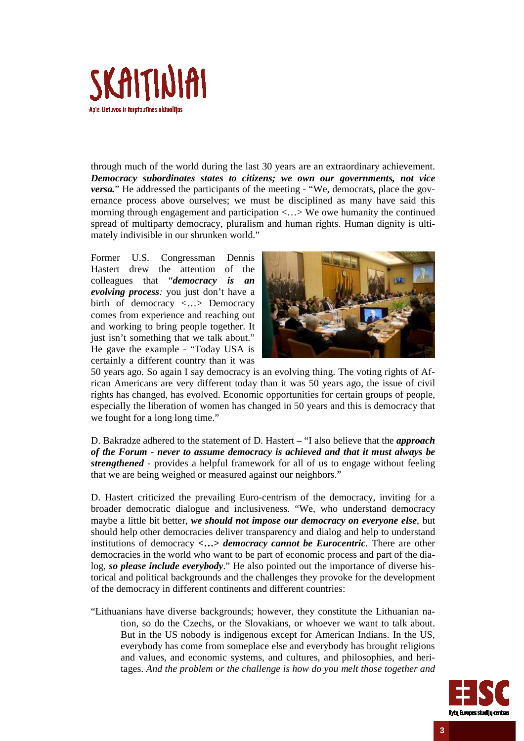

through much of the world during the last 30 years are an extraordinary achievement. *Democracy subordinates states to citizens; we own our governments, not vice versa.*" He addressed the participants of the meeting - "We, democrats, place the governance process above ourselves; we must be disciplined as many have said this morning through engagement and participation <…> We owe humanity the continued spread of multiparty democracy, pluralism and human rights. Human dignity is ultimately indivisible in our shrunken world."

Former U.S. Congressman Dennis Hastert drew the attention of the colleagues that "*democracy is an evolving process:* you just don't have a birth of democracy <...> Democracy comes from experience and reaching out and working to bring people together. It just isn't something that we talk about." He gave the example - "Today USA is certainly a different country than it was



50 years ago. So again I say democracy is an evolving thing. The voting rights of African Americans are very different today than it was 50 years ago, the issue of civil rights has changed, has evolved. Economic opportunities for certain groups of people, especially the liberation of women has changed in 50 years and this is democracy that we fought for a long long time."

D. Bakradze adhered to the statement of D. Hastert – "I also believe that the *approach of the Forum - never to assume democracy is achieved and that it must always be strengthened* - provides a helpful framework for all of us to engage without feeling that we are being weighed or measured against our neighbors."

D. Hastert criticized the prevailing Euro-centrism of the democracy, inviting for a broader democratic dialogue and inclusiveness. "We, who understand democracy maybe a little bit better, *we should not impose our democracy on everyone else*, but should help other democracies deliver transparency and dialog and help to understand institutions of democracy **<…>** *democracy cannot be Eurocentric*. There are other democracies in the world who want to be part of economic process and part of the dialog, *so please include everybody*." He also pointed out the importance of diverse historical and political backgrounds and the challenges they provoke for the development of the democracy in different continents and different countries:

"Lithuanians have diverse backgrounds; however, they constitute the Lithuanian nation, so do the Czechs, or the Slovakians, or whoever we want to talk about. But in the US nobody is indigenous except for American Indians. In the US, everybody has come from someplace else and everybody has brought religions and values, and economic systems, and cultures, and philosophies, and heritages. *And the problem or the challenge is how do you melt those together and* 

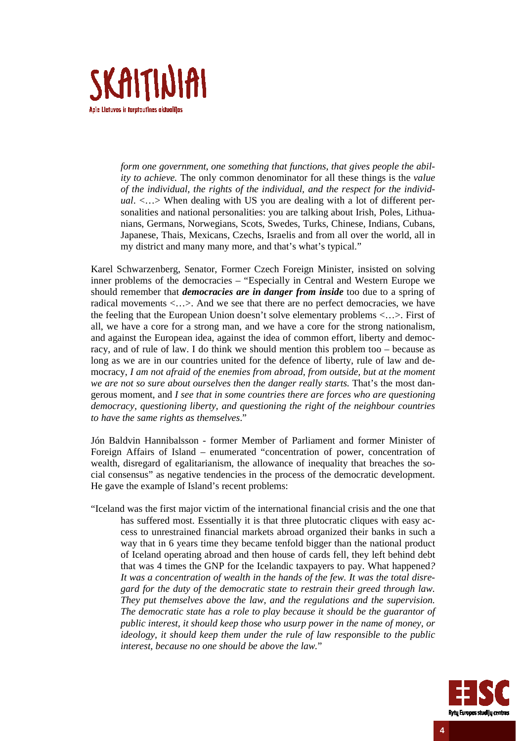

*form one government, one something that functions, that gives people the ability to achieve.* The only common denominator for all these things is the *value of the individual, the rights of the individual, and the respect for the individual*. <…> When dealing with US you are dealing with a lot of different personalities and national personalities: you are talking about Irish, Poles, Lithuanians, Germans, Norwegians, Scots, Swedes, Turks, Chinese, Indians, Cubans, Japanese, Thais, Mexicans, Czechs, Israelis and from all over the world, all in my district and many many more, and that's what's typical."

Karel Schwarzenberg, Senator, Former Czech Foreign Minister, insisted on solving inner problems of the democracies – "Especially in Central and Western Europe we should remember that *democracies are in danger from inside* too due to a spring of radical movements <…>. And we see that there are no perfect democracies, we have the feeling that the European Union doesn't solve elementary problems <…>. First of all, we have a core for a strong man, and we have a core for the strong nationalism, and against the European idea, against the idea of common effort, liberty and democracy, and of rule of law. I do think we should mention this problem too – because as long as we are in our countries united for the defence of liberty, rule of law and democracy, *I am not afraid of the enemies from abroad, from outside, but at the moment we are not so sure about ourselves then the danger really starts.* That's the most dangerous moment, and *I see that in some countries there are forces who are questioning democracy, questioning liberty, and questioning the right of the neighbour countries to have the same rights as themselves*."

Jón Baldvin Hannibalsson - former Member of Parliament and former Minister of Foreign Affairs of Island – enumerated "concentration of power, concentration of wealth, disregard of egalitarianism, the allowance of inequality that breaches the social consensus" as negative tendencies in the process of the democratic development. He gave the example of Island's recent problems:

"Iceland was the first major victim of the international financial crisis and the one that has suffered most. Essentially it is that three plutocratic cliques with easy access to unrestrained financial markets abroad organized their banks in such a way that in 6 years time they became tenfold bigger than the national product of Iceland operating abroad and then house of cards fell, they left behind debt that was 4 times the GNP for the Icelandic taxpayers to pay. What happened*? It was a concentration of wealth in the hands of the few. It was the total disregard for the duty of the democratic state to restrain their greed through law. They put themselves above the law, and the regulations and the supervision. The democratic state has a role to play because it should be the guarantor of public interest, it should keep those who usurp power in the name of money, or ideology, it should keep them under the rule of law responsible to the public interest, because no one should be above the law.*"

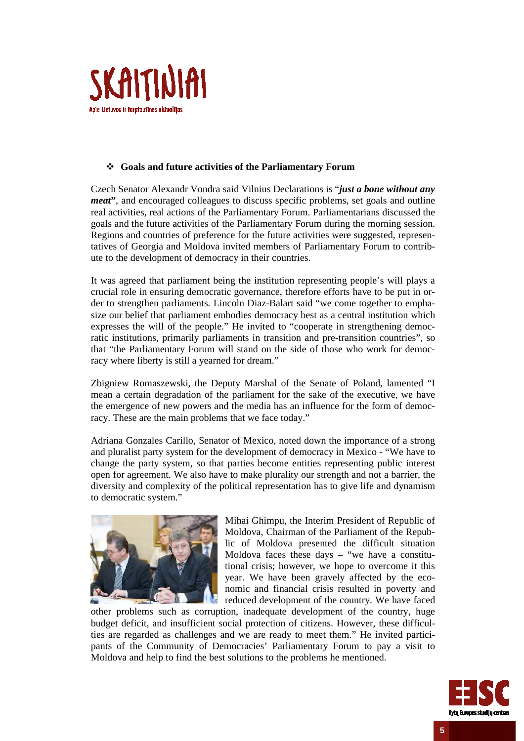

### **Goals and future activities of the Parliamentary Forum**

Czech Senator Alexandr Vondra said Vilnius Declarations is "*just a bone without any meat***"**, and encouraged colleagues to discuss specific problems, set goals and outline real activities, real actions of the Parliamentary Forum. Parliamentarians discussed the goals and the future activities of the Parliamentary Forum during the morning session. Regions and countries of preference for the future activities were suggested, representatives of Georgia and Moldova invited members of Parliamentary Forum to contribute to the development of democracy in their countries.

It was agreed that parliament being the institution representing people's will plays a crucial role in ensuring democratic governance, therefore efforts have to be put in order to strengthen parliaments. Lincoln Diaz-Balart said "we come together to emphasize our belief that parliament embodies democracy best as a central institution which expresses the will of the people." He invited to "cooperate in strengthening democratic institutions, primarily parliaments in transition and pre-transition countries", so that "the Parliamentary Forum will stand on the side of those who work for democracy where liberty is still a yearned for dream."

Zbigniew Romaszewski, the Deputy Marshal of the Senate of Poland, lamented "I mean a certain degradation of the parliament for the sake of the executive, we have the emergence of new powers and the media has an influence for the form of democracy. These are the main problems that we face today."

Adriana Gonzales Carillo, Senator of Mexico, noted down the importance of a strong and pluralist party system for the development of democracy in Mexico - "We have to change the party system, so that parties become entities representing public interest open for agreement. We also have to make plurality our strength and not a barrier, the diversity and complexity of the political representation has to give life and dynamism to democratic system."



Mihai Ghimpu, the Interim President of Republic of Moldova, Chairman of the Parliament of the Republic of Moldova presented the difficult situation Moldova faces these days  $-$  "we have a constitutional crisis; however, we hope to overcome it this year. We have been gravely affected by the economic and financial crisis resulted in poverty and reduced development of the country. We have faced

other problems such as corruption, inadequate development of the country, huge budget deficit, and insufficient social protection of citizens. However, these difficulties are regarded as challenges and we are ready to meet them." He invited participants of the Community of Democracies' Parliamentary Forum to pay a visit to Moldova and help to find the best solutions to the problems he mentioned.

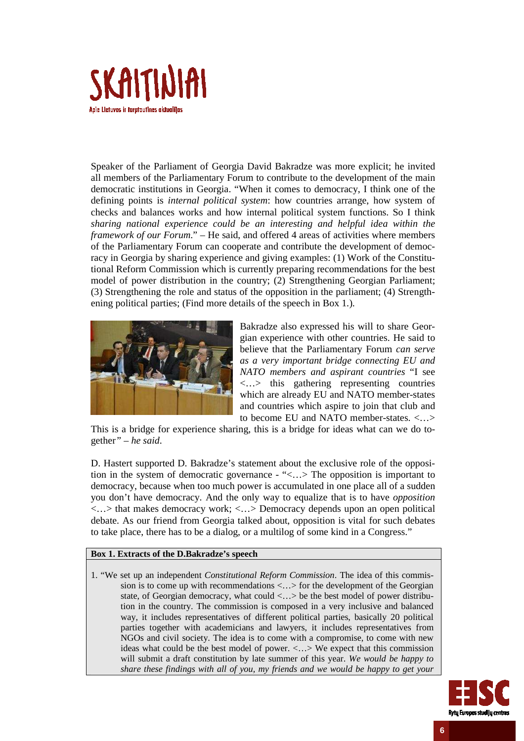

Speaker of the Parliament of Georgia David Bakradze was more explicit; he invited all members of the Parliamentary Forum to contribute to the development of the main democratic institutions in Georgia. "When it comes to democracy, I think one of the defining points is *internal political system*: how countries arrange, how system of checks and balances works and how internal political system functions. So I think *sharing national experience could be an interesting and helpful idea within the framework of our Forum*." – He said, and offered 4 areas of activities where members of the Parliamentary Forum can cooperate and contribute the development of democracy in Georgia by sharing experience and giving examples: (1) Work of the Constitutional Reform Commission which is currently preparing recommendations for the best model of power distribution in the country; (2) Strengthening Georgian Parliament; (3) Strengthening the role and status of the opposition in the parliament; (4) Strengthening political parties; (Find more details of the speech in Box 1.).



Bakradze also expressed his will to share Georgian experience with other countries. He said to believe that the Parliamentary Forum *can serve as a very important bridge connecting EU and NATO members and aspirant countries* "I see <…> this gathering representing countries which are already EU and NATO member-states and countries which aspire to join that club and to become EU and NATO member-states. <…>

This is a bridge for experience sharing, this is a bridge for ideas what can we do together*" – he said*.

D. Hastert supported D. Bakradze's statement about the exclusive role of the opposition in the system of democratic governance - "<…> The opposition is important to democracy, because when too much power is accumulated in one place all of a sudden you don't have democracy. And the only way to equalize that is to have *opposition*  $\langle \ldots \rangle$  that makes democracy work;  $\langle \ldots \rangle$  Democracy depends upon an open political debate. As our friend from Georgia talked about, opposition is vital for such debates to take place, there has to be a dialog, or a multilog of some kind in a Congress."

### **Box 1. Extracts of the D.Bakradze's speech**

1. "We set up an independent *Constitutional Reform Commission*. The idea of this commission is to come up with recommendations <…> for the development of the Georgian state, of Georgian democracy, what could <...> be the best model of power distribution in the country. The commission is composed in a very inclusive and balanced way, it includes representatives of different political parties, basically 20 political parties together with academicians and lawyers, it includes representatives from NGOs and civil society. The idea is to come with a compromise, to come with new ideas what could be the best model of power. <…> We expect that this commission will submit a draft constitution by late summer of this year. *We would be happy to share these findings with all of you, my friends and we would be happy to get your* 

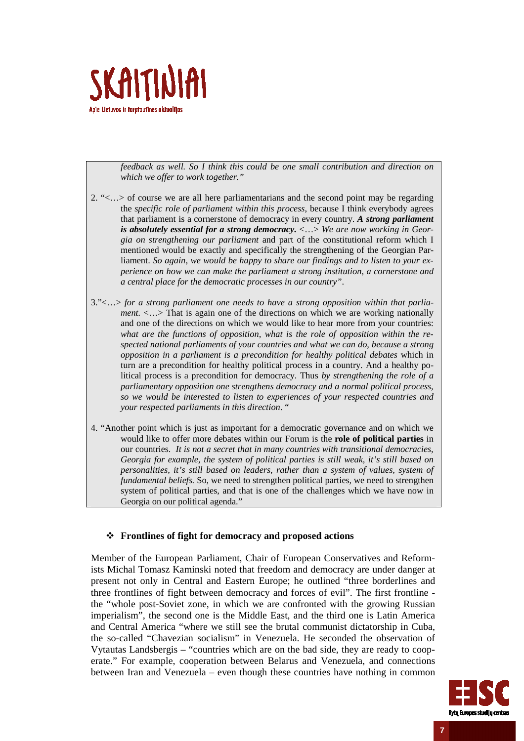

*feedback as well. So I think this could be one small contribution and direction on which we offer to work together."*

- 2. "<…> of course we are all here parliamentarians and the second point may be regarding the *specific role of parliament within this process*, because I think everybody agrees that parliament is a cornerstone of democracy in every country. *A strong parliament is absolutely essential for a strong democracy***.** <…> *We are now working in Georgia on strengthening our parliament* and part of the constitutional reform which I mentioned would be exactly and specifically the strengthening of the Georgian Parliament. *So again, we would be happy to share our findings and to listen to your experience on how we can make the parliament a strong institution, a cornerstone and a central place for the democratic processes in our country"*.
- 3."<…> *for a strong parliament one needs to have a strong opposition within that parliament.* <...> That is again one of the directions on which we are working nationally and one of the directions on which we would like to hear more from your countries: *what are the functions of opposition, what is the role of opposition within the respected national parliaments of your countries and what we can do, because a strong opposition in a parliament is a precondition for healthy political debates* which in turn are a precondition for healthy political process in a country. And a healthy political process is a precondition for democracy. Thus *by strengthening the role of a parliamentary opposition one strengthens democracy and a normal political process, so we would be interested to listen to experiences of your respected countries and your respected parliaments in this direction*. "
- 4. "Another point which is just as important for a democratic governance and on which we would like to offer more debates within our Forum is the **role of political parties** in our countries. *It is not a secret that in many countries with transitional democracies, Georgia for example, the system of political parties is still weak, it's still based on personalities, it's still based on leaders, rather than a system of values, system of fundamental beliefs.* So, we need to strengthen political parties, we need to strengthen system of political parties, and that is one of the challenges which we have now in Georgia on our political agenda."

#### **Frontlines of fight for democracy and proposed actions**

Member of the European Parliament, Chair of European Conservatives and Reformists Michal Tomasz Kaminski noted that freedom and democracy are under danger at present not only in Central and Eastern Europe; he outlined "three borderlines and three frontlines of fight between democracy and forces of evil". The first frontline the "whole post-Soviet zone, in which we are confronted with the growing Russian imperialism", the second one is the Middle East, and the third one is Latin America and Central America "where we still see the brutal communist dictatorship in Cuba, the so-called "Chavezian socialism" in Venezuela. He seconded the observation of Vytautas Landsbergis – "countries which are on the bad side, they are ready to cooperate." For example, cooperation between Belarus and Venezuela, and connections between Iran and Venezuela – even though these countries have nothing in common



**7**